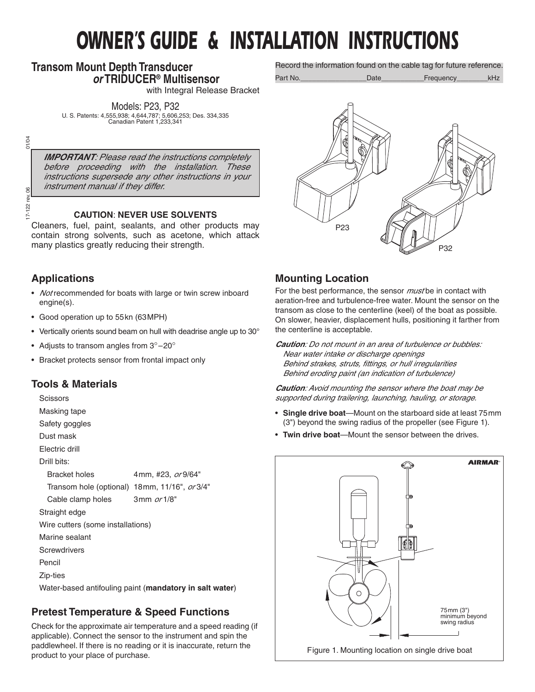# *OWNER'S GUIDE & INSTALLATION INSTRUCTIONS*

## **Transom Mount Depth Transducer** *or* **TRIDUCER® Multisensor**

with Integral Release Bracket

Models: P23, P32 U. S. Patents: 4,555,938; 4,644,787; 5,606,253; Des. 334,335 Canadian Patent 1,233,341

01/04 17-122 rev. 06 01/04

 $\delta$ ă  $|22|$  $\overline{171}$ 

*IMPORTANT: Please read the instructions completely before proceeding with the installation. These instructions supersede any other instructions in your instrument manual if they differ.*

#### **CAUTION**: **NEVER USE SOLVENTS**

Cleaners, fuel, paint, sealants, and other products may contain strong solvents, such as acetone, which attack many plastics greatly reducing their strength.

## **Applications**

- *Not* recommended for boats with large or twin screw inboard engine(s).
- Good operation up to 55kn (63MPH)
- Vertically orients sound beam on hull with deadrise angle up to 30°
- Adjusts to transom angles from  $3^{\circ}-20^{\circ}$
- Bracket protects sensor from frontal impact only

## **Tools & Materials**

**Scissors** 

- Masking tape Safety goggles
- Dust mask
- Electric drill

Drill bits:

Bracket holes 4mm, #23, *or* 9/64" Transom hole (optional) 18mm, 11/16", *or* 3/4" Cable clamp holes 3mm *or* 1/8"

Straight edge

Wire cutters (some installations)

- Marine sealant
- **Screwdrivers**

Pencil

Zip-ties

Water-based antifouling paint (**mandatory in salt water**)

## **Pretest Temperature & Speed Functions**

Check for the approximate air temperature and a speed reading (if applicable). Connect the sensor to the instrument and spin the paddlewheel. If there is no reading or it is inaccurate, return the product to your place of purchase.

Record the information found on the cable tag for future reference.

Part No.\_\_\_\_\_\_\_\_\_\_\_\_\_\_\_\_\_Date\_\_\_\_\_\_\_\_\_\_\_Frequency\_\_\_\_\_\_\_\_kHz



## **Mounting Location**

For the best performance, the sensor *must* be in contact with aeration-free and turbulence-free water. Mount the sensor on the transom as close to the centerline (keel) of the boat as possible. On slower, heavier, displacement hulls, positioning it farther from the centerline is acceptable.

*Caution: Do not mount in an area of turbulence or bubbles:*

*Near water intake or discharge openings Behind strakes, struts, fittings, or hull irregularities Behind eroding paint (an indication of turbulence)*

*Caution: Avoid mounting the sensor where the boat may be supported during trailering, launching, hauling, or storage.*

- **Single drive boat**—Mount on the starboard side at least 75mm (3") beyond the swing radius of the propeller (see Figure 1).
- **Twin drive boat**—Mount the sensor between the drives.

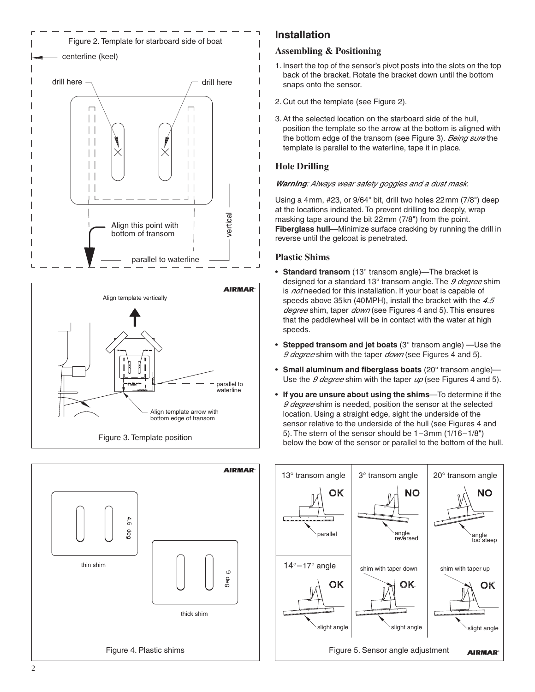





## **Installation**

### **Assembling & Positioning**

- 1. Insert the top of the sensor's pivot posts into the slots on the top back of the bracket. Rotate the bracket down until the bottom snaps onto the sensor.
- 2. Cut out the template (see Figure 2).
- 3. At the selected location on the starboard side of the hull, position the template so the arrow at the bottom is aligned with the bottom edge of the transom (see Figure 3). *Being sure* the template is parallel to the waterline, tape it in place.

## **Hole Drilling**

#### *Warning: Always wear safety goggles and a dust mask.*

Using a 4mm, #23, or 9/64" bit, drill two holes 22mm (7/8") deep at the locations indicated. To prevent drilling too deeply, wrap masking tape around the bit 22mm (7/8") from the point. **Fiberglass hull**—Minimize surface cracking by running the drill in reverse until the gelcoat is penetrated.

## **Plastic Shims**

- **Standard transom** (13° transom angle)—The bracket is designed for a standard 13° transom angle. The *9 degree* shim is *not* needed for this installation. If your boat is capable of speeds above 35kn (40MPH), install the bracket with the *4.5 degree* shim, taper *down* (see Figures 4 and 5). This ensures that the paddlewheel will be in contact with the water at high speeds.
- **Stepped transom and jet boats** (3° transom angle) —Use the *9 degree* shim with the taper *down* (see Figures 4 and 5).
- **Small aluminum and fiberglass boats** (20° transom angle)— Use the *9 degree* shim with the taper *up* (see Figures 4 and 5).
- **If you are unsure about using the shims**—To determine if the *9 degree* shim is needed, position the sensor at the selected location. Using a straight edge, sight the underside of the sensor relative to the underside of the hull (see Figures 4 and 5). The stern of the sensor should be 1–3mm (1/16–1/8") below the bow of the sensor or parallel to the bottom of the hull.

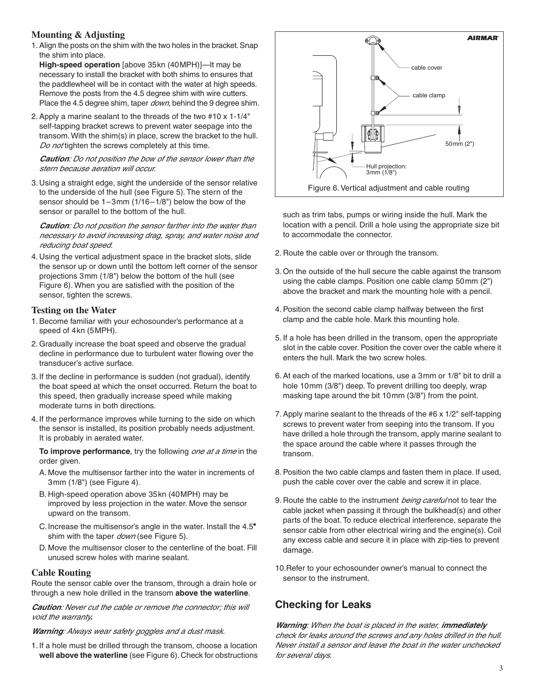#### **Mounting & Adjusting**

1. Align the posts on the shim with the two holes in the bracket. Snap the shim into place.

**High-speed operation** [above 35kn (40MPH)]—It may be necessary to install the bracket with both shims to ensures that the paddlewheel will be in contact with the water at high speeds. Remove the posts from the 4.5 degree shim with wire cutters. Place the 4.5 degree shim, taper *down*, behind the 9 degree shim.

2. Apply a marine sealant to the threads of the two #10 x 1-1/4" self-tapping bracket screws to prevent water seepage into the transom. With the shim(s) in place, screw the bracket to the hull. *Do not* tighten the screws completely at this time.

*Caution: Do not position the bow of the sensor lower than the stern because aeration will occur.*

3. Using a straight edge, sight the underside of the sensor relative to the underside of the hull (see Figure 5). The stern of the sensor should be 1–3mm (1/16–1/8") below the bow of the sensor or parallel to the bottom of the hull.

*Caution: Do not position the sensor farther into the water than necessary to avoid increasing drag, spray, and water noise and reducing boat speed.*

4. Using the vertical adjustment space in the bracket slots, slide the sensor up or down until the bottom left corner of the sensor projections 3mm (1/8") below the bottom of the hull (see Figure 6). When you are satisfied with the position of the sensor, tighten the screws.

#### **Testing on the Water**

- 1. Become familiar with your echosounder's performance at a speed of 4kn (5MPH).
- 2. Gradually increase the boat speed and observe the gradual decline in performance due to turbulent water flowing over the transducer's active surface.
- 3. If the decline in performance is sudden (not gradual), identify the boat speed at which the onset occurred. Return the boat to this speed, then gradually increase speed while making moderate turns in both directions.
- 4. If the performance improves while turning to the side on which the sensor is installed, its position probably needs adjustment. It is probably in aerated water.

**To improve performance**, try the following *one at a time* in the order given.

- A. Move the multisensor farther into the water in increments of 3mm (1/8") (see Figure 4).
- B. High-speed operation above 35kn (40MPH) may be improved by less projection in the water. Move the sensor upward on the transom.
- C. Increase the multisensor's angle in the water. Install the 4.5• shim with the taper *down* (see Figure 5).
- D. Move the multisensor closer to the centerline of the boat. Fill unused screw holes with marine sealant.

#### **Cable Routing**

Route the sensor cable over the transom, through a drain hole or through a new hole drilled in the transom **above the waterline**.

*Caution: Never cut the cable or remove the connector; this will void the warranty.*

*Warning: Always wear safety goggles and a dust mask.*

1. If a hole must be drilled through the transom, choose a location **well above the waterline** (see Figure 6). Check for obstructions



such as trim tabs, pumps or wiring inside the hull. Mark the location with a pencil. Drill a hole using the appropriate size bit to accommodate the connector.

- 2. Route the cable over or through the transom.
- 3. On the outside of the hull secure the cable against the transom using the cable clamps. Position one cable clamp 50mm (2") above the bracket and mark the mounting hole with a pencil.
- 4. Position the second cable clamp halfway between the first clamp and the cable hole. Mark this mounting hole.
- 5. If a hole has been drilled in the transom, open the appropriate slot in the cable cover. Position the cover over the cable where it enters the hull. Mark the two screw holes.
- 6. At each of the marked locations, use a 3mm or 1/8" bit to drill a hole 10mm (3/8") deep. To prevent drilling too deeply, wrap masking tape around the bit 10mm (3/8") from the point.
- 7. Apply marine sealant to the threads of the #6 x 1/2" self-tapping screws to prevent water from seeping into the transom. If you have drilled a hole through the transom, apply marine sealant to the space around the cable where it passes through the transom.
- 8. Position the two cable clamps and fasten them in place. If used, push the cable cover over the cable and screw it in place.
- 9. Route the cable to the instrument *being careful* not to tear the cable jacket when passing it through the bulkhead(s) and other parts of the boat. To reduce electrical interference, separate the sensor cable from other electrical wiring and the engine(s). Coil any excess cable and secure it in place with zip-ties to prevent damage.
- 10.Refer to your echosounder owner's manual to connect the sensor to the instrument.

## **Checking for Leaks**

*Warning: When the boat is placed in the water, immediately check for leaks around the screws and any holes drilled in the hull. Never install a sensor and leave the boat in the water unchecked for several days.*